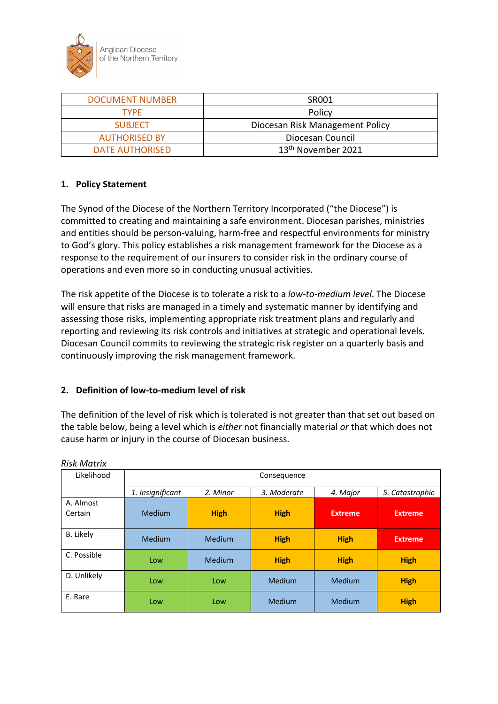

| <b>DOCUMENT NUMBER</b> | SR001                           |  |  |
|------------------------|---------------------------------|--|--|
| TYPF                   | Policy                          |  |  |
| <b>SUBJECT</b>         | Diocesan Risk Management Policy |  |  |
| <b>AUTHORISED BY</b>   | Diocesan Council                |  |  |
| <b>DATE AUTHORISED</b> | 13 <sup>th</sup> November 2021  |  |  |

## **1. Policy Statement**

The Synod of the Diocese of the Northern Territory Incorporated ("the Diocese") is committed to creating and maintaining a safe environment. Diocesan parishes, ministries and entities should be person-valuing, harm-free and respectful environments for ministry to God's glory. This policy establishes a risk management framework for the Diocese as a response to the requirement of our insurers to consider risk in the ordinary course of operations and even more so in conducting unusual activities.

The risk appetite of the Diocese is to tolerate a risk to a *low-to-medium level*. The Diocese will ensure that risks are managed in a timely and systematic manner by identifying and assessing those risks, implementing appropriate risk treatment plans and regularly and reporting and reviewing its risk controls and initiatives at strategic and operational levels. Diocesan Council commits to reviewing the strategic risk register on a quarterly basis and continuously improving the risk management framework.

#### **2. Definition of low-to-medium level of risk**

The definition of the level of risk which is tolerated is not greater than that set out based on the table below, being a level which is *either* not financially material *or* that which does not cause harm or injury in the course of Diocesan business.

| Likelihood           | Consequence                                 |             |             |                |                 |
|----------------------|---------------------------------------------|-------------|-------------|----------------|-----------------|
|                      | 1. Insignificant<br>2. Minor<br>3. Moderate |             |             | 4. Major       | 5. Catastrophic |
| A. Almost<br>Certain | Medium                                      | <b>High</b> | <b>High</b> | <b>Extreme</b> | <b>Extreme</b>  |
| <b>B.</b> Likely     | Medium                                      | Medium      | <b>High</b> | <b>High</b>    | <b>Extreme</b>  |
| C. Possible          | Low                                         | Medium      | <b>High</b> | <b>High</b>    | <b>High</b>     |
| D. Unlikely          | Low                                         | Low         | Medium      | Medium         | <b>High</b>     |
| E. Rare              | Low                                         | Low         | Medium      | Medium         | <b>High</b>     |

*Risk Matrix*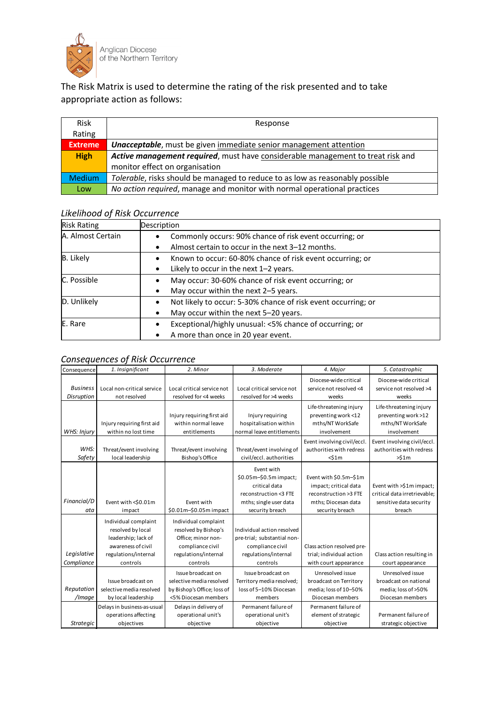

## The Risk Matrix is used to determine the rating of the risk presented and to take appropriate action as follows:

| <b>Risk</b>    | Response                                                                        |
|----------------|---------------------------------------------------------------------------------|
| Rating         |                                                                                 |
| <b>Extreme</b> | <b>Unacceptable</b> , must be given immediate senior management attention       |
| <b>High</b>    | Active management required, must have considerable management to treat risk and |
|                | monitor effect on organisation                                                  |
| <b>Medium</b>  | Tolerable, risks should be managed to reduce to as low as reasonably possible   |
| Low            | No action required, manage and monitor with normal operational practices        |

## *Likelihood of Risk Occurrence*

| <b>Risk Rating</b> | Description                                                   |
|--------------------|---------------------------------------------------------------|
| A. Almost Certain  | Commonly occurs: 90% chance of risk event occurring; or       |
|                    | Almost certain to occur in the next 3–12 months.              |
| <b>B.</b> Likely   | Known to occur: 60-80% chance of risk event occurring; or     |
|                    | Likely to occur in the next $1-2$ years.                      |
| C. Possible        | May occur: 30-60% chance of risk event occurring; or          |
|                    | May occur within the next 2-5 years.                          |
| D. Unlikely        | Not likely to occur: 5-30% chance of risk event occurring; or |
|                    | May occur within the next 5-20 years.                         |
| E. Rare            | Exceptional/highly unusual: <5% chance of occurring; or       |
|                    | A more than once in 20 year event.                            |

## *Consequences of Risk Occurrence*

| Consequence                   | 1. Insignificant                                                                                                           | 2. Minor                                                                                                                   | 3. Moderate                                                                                                                 | 4. Major                                                                                                           | 5. Catastrophic                                                                               |
|-------------------------------|----------------------------------------------------------------------------------------------------------------------------|----------------------------------------------------------------------------------------------------------------------------|-----------------------------------------------------------------------------------------------------------------------------|--------------------------------------------------------------------------------------------------------------------|-----------------------------------------------------------------------------------------------|
| <b>Business</b><br>Disruption | Local non-critical service<br>not resolved                                                                                 | Local critical service not<br>resolved for <4 weeks                                                                        | Local critical service not<br>resolved for >4 weeks                                                                         | Diocese-wide critical<br>service not resolved <4<br>weeks                                                          | Diocese-wide critical<br>service not resolved >4<br>weeks                                     |
| WHS: Injury                   | Injury requiring first aid<br>within no lost time                                                                          | Injury requiring first aid<br>within normal leave<br>entitlements                                                          | Injury requiring<br>hospitalisation within<br>normal leave entitlements                                                     | Life-threatening injury<br>preventing work <12<br>mths/NT WorkSafe<br>involvement                                  | Life-threatening injury<br>preventing work >12<br>mths/NTWorkSafe<br>involvement              |
| WHS:<br>Safety                | Threat/event involving<br>local leadership                                                                                 | Threat/event involving<br><b>Bishop's Office</b>                                                                           | Threat/event involving of<br>civil/eccl. authorities                                                                        | Event involving civil/eccl.<br>authorities with redress<br>$<$ \$1 $m$                                             | Event involving civil/eccl.<br>authorities with redress<br>>51m                               |
| Financial/D<br>ata            | Event with <\$0.01m<br>impact                                                                                              | Event with<br>\$0.01m-\$0.05m impact                                                                                       | Event with<br>\$0.05m-\$0.5m impact;<br>critical data<br>reconstruction <3 FTE<br>mths; single user data<br>security breach | Event with \$0.5m-\$1m<br>impact; critical data<br>reconstruction >3 FTE<br>mths; Diocesan data<br>security breach | Event with >\$1m impact;<br>critical data irretrievable;<br>sensitive data security<br>breach |
| Legislative<br>Compliance     | Individual complaint<br>resolved by local<br>leadership; lack of<br>awareness of civil<br>regulations/internal<br>controls | Individual complaint<br>resolved by Bishop's<br>Office; minor non-<br>compliance civil<br>regulations/internal<br>controls | Individual action resolved<br>pre-trial; substantial non-<br>compliance civil<br>regulations/internal<br>controls           | Class action resolved pre-<br>trial; individual action<br>with court appearance                                    | Class action resulting in<br>court appearance                                                 |
| Reputation<br>/Image          | Issue broadcast on<br>selective media resolved<br>by local leadership                                                      | Issue broadcast on<br>selective media resolved<br>by Bishop's Office; loss of<br><5% Diocesan members                      | Issue broadcast on<br>Territory media resolved;<br>loss of 5-10% Diocesan<br>members                                        | Unresolved issue<br>broadcast on Territory<br>media; loss of 10-50%<br>Diocesan members                            | Unresolved issue<br>broadcast on national<br>media; loss of >50%<br>Diocesan members          |
| <b>Strategic</b>              | Delays in business-as-usual<br>operations affecting<br>objectives                                                          | Delays in delivery of<br>operational unit's<br>objective                                                                   | Permanent failure of<br>operational unit's<br>objective                                                                     | Permanent failure of<br>element of strategic<br>objective                                                          | Permanent failure of<br>strategic objective                                                   |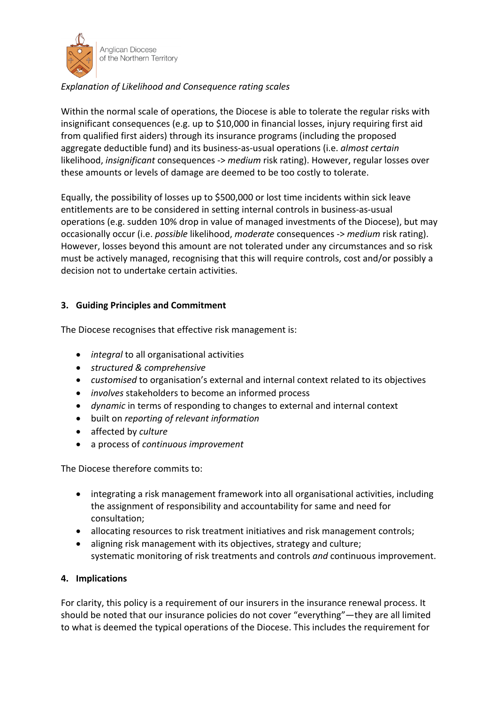

# *Explanation of Likelihood and Consequence rating scales*

Within the normal scale of operations, the Diocese is able to tolerate the regular risks with insignificant consequences (e.g. up to \$10,000 in financial losses, injury requiring first aid from qualified first aiders) through its insurance programs (including the proposed aggregate deductible fund) and its business-as-usual operations (i.e. *almost certain* likelihood, *insignificant* consequences -> *medium* risk rating). However, regular losses over these amounts or levels of damage are deemed to be too costly to tolerate.

Equally, the possibility of losses up to \$500,000 or lost time incidents within sick leave entitlements are to be considered in setting internal controls in business-as-usual operations (e.g. sudden 10% drop in value of managed investments of the Diocese), but may occasionally occur (i.e. *possible* likelihood, *moderate* consequences -> *medium* risk rating). However, losses beyond this amount are not tolerated under any circumstances and so risk must be actively managed, recognising that this will require controls, cost and/or possibly a decision not to undertake certain activities.

# **3. Guiding Principles and Commitment**

The Diocese recognises that effective risk management is:

- *integral* to all organisational activities
- *structured & comprehensive*
- *customised* to organisation's external and internal context related to its objectives
- *involves* stakeholders to become an informed process
- *dynamic* in terms of responding to changes to external and internal context
- built on *reporting of relevant information*
- affected by *culture*
- a process of *continuous improvement*

The Diocese therefore commits to:

- integrating a risk management framework into all organisational activities, including the assignment of responsibility and accountability for same and need for consultation;
- allocating resources to risk treatment initiatives and risk management controls;
- aligning risk management with its objectives, strategy and culture; systematic monitoring of risk treatments and controls *and* continuous improvement.

# **4. Implications**

For clarity, this policy is a requirement of our insurers in the insurance renewal process. It should be noted that our insurance policies do not cover "everything"—they are all limited to what is deemed the typical operations of the Diocese. This includes the requirement for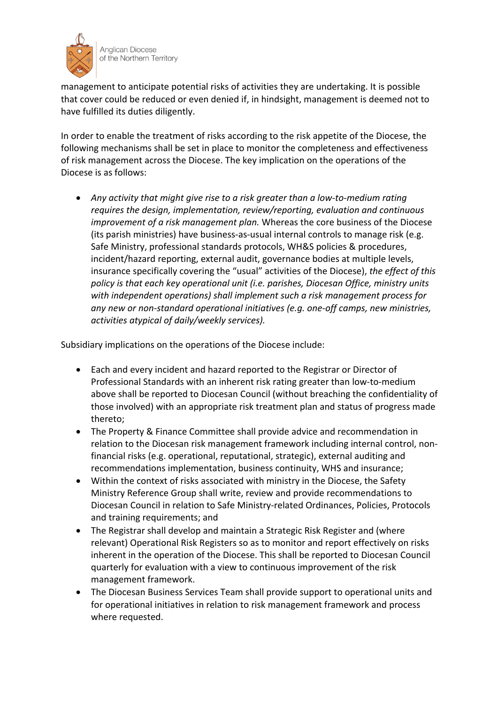

management to anticipate potential risks of activities they are undertaking. It is possible that cover could be reduced or even denied if, in hindsight, management is deemed not to have fulfilled its duties diligently.

In order to enable the treatment of risks according to the risk appetite of the Diocese, the following mechanisms shall be set in place to monitor the completeness and effectiveness of risk management across the Diocese. The key implication on the operations of the Diocese is as follows:

• *Any activity that might give rise to a risk greater than a low-to-medium rating requires the design, implementation, review/reporting, evaluation and continuous improvement of a risk management plan.* Whereas the core business of the Diocese (its parish ministries) have business-as-usual internal controls to manage risk (e.g. Safe Ministry, professional standards protocols, WH&S policies & procedures, incident/hazard reporting, external audit, governance bodies at multiple levels, insurance specifically covering the "usual" activities of the Diocese), *the effect of this policy is that each key operational unit (i.e. parishes, Diocesan Office, ministry units with independent operations) shall implement such a risk management process for any new or non-standard operational initiatives (e.g. one-off camps, new ministries, activities atypical of daily/weekly services).*

Subsidiary implications on the operations of the Diocese include:

- Each and every incident and hazard reported to the Registrar or Director of Professional Standards with an inherent risk rating greater than low-to-medium above shall be reported to Diocesan Council (without breaching the confidentiality of those involved) with an appropriate risk treatment plan and status of progress made thereto;
- The Property & Finance Committee shall provide advice and recommendation in relation to the Diocesan risk management framework including internal control, nonfinancial risks (e.g. operational, reputational, strategic), external auditing and recommendations implementation, business continuity, WHS and insurance;
- Within the context of risks associated with ministry in the Diocese, the Safety Ministry Reference Group shall write, review and provide recommendations to Diocesan Council in relation to Safe Ministry-related Ordinances, Policies, Protocols and training requirements; and
- The Registrar shall develop and maintain a Strategic Risk Register and (where relevant) Operational Risk Registers so as to monitor and report effectively on risks inherent in the operation of the Diocese. This shall be reported to Diocesan Council quarterly for evaluation with a view to continuous improvement of the risk management framework.
- The Diocesan Business Services Team shall provide support to operational units and for operational initiatives in relation to risk management framework and process where requested.